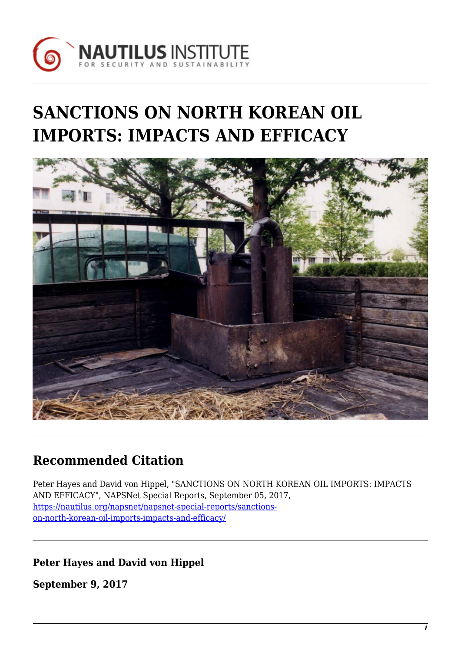

# **SANCTIONS ON NORTH KOREAN OIL IMPORTS: IMPACTS AND EFFICACY**



## **Recommended Citation**

Peter Hayes and David von Hippel, "SANCTIONS ON NORTH KOREAN OIL IMPORTS: IMPACTS AND EFFICACY", NAPSNet Special Reports, September 05, 2017, [https://nautilus.org/napsnet/napsnet-special-reports/sanctions](https://nautilus.org/napsnet/napsnet-special-reports/sanctions-on-north-korean-oil-imports-impacts-and-efficacy/)[on-north-korean-oil-imports-impacts-and-efficacy/](https://nautilus.org/napsnet/napsnet-special-reports/sanctions-on-north-korean-oil-imports-impacts-and-efficacy/)

**Peter Hayes and David von Hippel**

**September 9, 2017**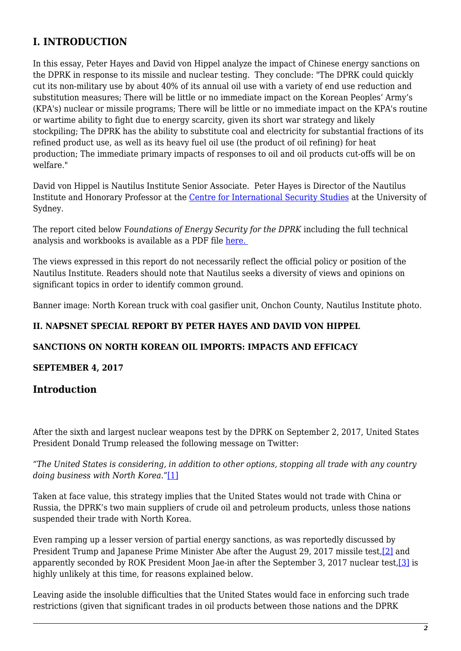## **I. INTRODUCTION**

In this essay, Peter Hayes and David von Hippel analyze the impact of Chinese energy sanctions on the DPRK in response to its missile and nuclear testing. They conclude: "The DPRK could quickly cut its non-military use by about 40% of its annual oil use with a variety of end use reduction and substitution measures; There will be little or no immediate impact on the Korean Peoples' Army's (KPA's) nuclear or missile programs; There will be little or no immediate impact on the KPA's routine or wartime ability to fight due to energy scarcity, given its short war strategy and likely stockpiling; The DPRK has the ability to substitute coal and electricity for substantial fractions of its refined product use, as well as its heavy fuel oil use (the product of oil refining) for heat production; The immediate primary impacts of responses to oil and oil products cut-offs will be on welfare."

David von Hippel is Nautilus Institute Senior Associate. Peter Hayes is Director of the Nautilus Institute and Honorary Professor at the [Centre for International Security Studies](http://sydney.edu.au/arts/ciss/) at the University of Sydney.

The report cited below F*oundations of Energy Security for the DPRK* including the full technical analysis and workbooks is available as a PDF file [here.](https://nautilus.org/napsnet/napsnet-special-reports/foundations-of-energy-security-for-the-dprk-1990-2009-energy-balances-engagement-options-and-future-paths-for-energy-and-economic-redevelopment/) 

The views expressed in this report do not necessarily reflect the official policy or position of the Nautilus Institute. Readers should note that Nautilus seeks a diversity of views and opinions on significant topics in order to identify common ground.

Banner image: North Korean truck with coal gasifier unit, Onchon County, Nautilus Institute photo.

#### **II. NAPSNET SPECIAL REPORT BY PETER HAYES AND DAVID VON HIPPEL**

#### **SANCTIONS ON NORTH KOREAN OIL IMPORTS: IMPACTS AND EFFICACY**

#### **SEPTEMBER 4, 2017**

#### **Introduction**

After the sixth and largest nuclear weapons test by the DPRK on September 2, 2017, United States President Donald Trump released the following message on Twitter:

<span id="page-1-0"></span>*"The United States is considering, in addition to other options, stopping all trade with any country doing business with North Korea*.["\[1\]](#page-7-0)

Taken at face value, this strategy implies that the United States would not trade with China or Russia, the DPRK's two main suppliers of crude oil and petroleum products, unless those nations suspended their trade with North Korea.

<span id="page-1-2"></span><span id="page-1-1"></span>Even ramping up a lesser version of partial energy sanctions, as was reportedly discussed by President Trump and Japanese Prime Minister Abe after the August 29, 2017 missile test,<sup>[2]</sup> and apparently seconded by ROK President Moon Jae-in after the September 3, 2017 nuclear test,[\[3\]](#page-7-2) is highly unlikely at this time, for reasons explained below.

Leaving aside the insoluble difficulties that the United States would face in enforcing such trade restrictions (given that significant trades in oil products between those nations and the DPRK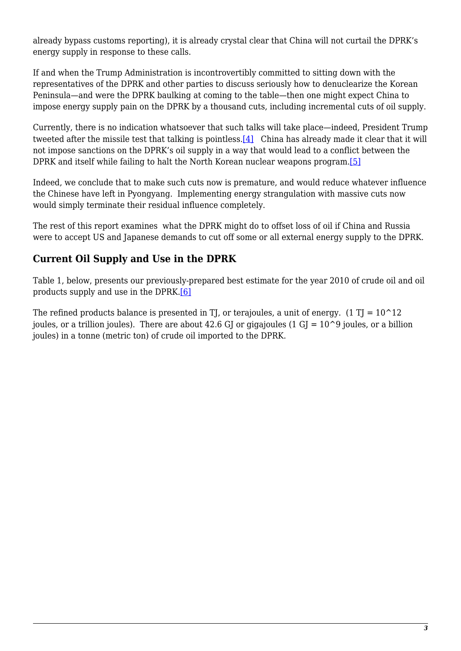already bypass customs reporting), it is already crystal clear that China will not curtail the DPRK's energy supply in response to these calls.

If and when the Trump Administration is incontrovertibly committed to sitting down with the representatives of the DPRK and other parties to discuss seriously how to denuclearize the Korean Peninsula—and were the DPRK baulking at coming to the table—then one might expect China to impose energy supply pain on the DPRK by a thousand cuts, including incremental cuts of oil supply.

<span id="page-2-0"></span>Currently, there is no indication whatsoever that such talks will take place—indeed, President Trump tweeted after the missile test that talking is pointless.<sup>[4]</sup> China has already made it clear that it will not impose sanctions on the DPRK's oil supply in a way that would lead to a conflict between the DPRK and itself while failing to halt the North Korean nuclear weapons program.[\[5\]](#page-7-4)

<span id="page-2-1"></span>Indeed, we conclude that to make such cuts now is premature, and would reduce whatever influence the Chinese have left in Pyongyang. Implementing energy strangulation with massive cuts now would simply terminate their residual influence completely.

The rest of this report examines what the DPRK might do to offset loss of oil if China and Russia were to accept US and Japanese demands to cut off some or all external energy supply to the DPRK.

## **Current Oil Supply and Use in the DPRK**

<span id="page-2-2"></span>Table 1, below, presents our previously-prepared best estimate for the year 2010 of crude oil and oil products supply and use in the DPRK.[\[6\]](#page-7-5)

The refined products balance is presented in TJ, or terajoules, a unit of energy. (1 TJ =  $10^{\circ}12$ ) joules, or a trillion joules). There are about 42.6 GJ or gigajoules (1 GJ =  $10^{\circ}$ 9 joules, or a billion joules) in a tonne (metric ton) of crude oil imported to the DPRK.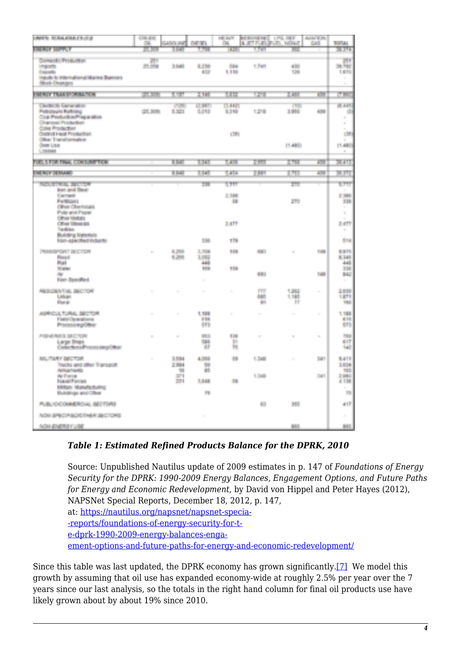| <b>LIMITS: ALSO KINETTLY LE</b>                                                                               | <b>CONTRACT</b><br><b>COL</b> | <b>AND PE</b>           | n an                           | <b>HEARY</b><br>ÚВ.   | <b>NUMBER ON ST</b> | A ATT FUEL PUEL, NEWST | <b>BOW LINE</b><br><b>CASE</b> | <b>TOTAL</b>                      |
|---------------------------------------------------------------------------------------------------------------|-------------------------------|-------------------------|--------------------------------|-----------------------|---------------------|------------------------|--------------------------------|-----------------------------------|
| <b>EXCITED CARD WAY</b>                                                                                       | 100,000                       | dicti                   | الأجالا                        | <b>HOST</b>           | a cu                | <b>SSF</b>             |                                | <b>SINGLE</b>                     |
| <b>Domestic Production</b><br><b>STATISTICS</b><br><b>Locate</b><br>Insults in Information of Marine Business | M.<br><b>Hildrid</b>          | 3.543                   | 4.256<br>Đ.                    | <b>Silver</b><br>UP.  | t fan               | 430<br><b>SH</b>       |                                | H.<br>20 700<br>14.77<br>н        |
| <b>Study Elsangers</b>                                                                                        |                               |                         |                                |                       |                     |                        |                                | ÷.                                |
| <b>THEREY TRANSPORTATION</b>                                                                                  | 77.399                        | n e sa                  | <b>TIME</b>                    | <b>STEP</b>           | u er                | <b>ERS</b>             | <b>TO</b>                      | <b>PINS</b>                       |
| The Birth School allow<br><b>Patrologie Ratining</b><br>Coat Production/Properties<br>Chargest Production     | (25.309)                      | <b>COMPANY</b><br>5,000 | and the com-<br>1,013          | <b>TALL</b><br>\$2.59 | 1248                | п.<br>1,950            | <b>COL</b>                     | <b>SECTION</b><br>÷.<br>U.<br>a.  |
| Colle Production<br><b>Created Heat Production</b>                                                            |                               |                         |                                | citi.                 |                     |                        |                                | m.<br>œ                           |
| Other Transformation<br><b>Own Use</b><br>Libbert                                                             |                               |                         |                                |                       |                     | は相談                    |                                | (1,480)<br><b>BU</b>              |
| <b>FUEL STORE FINAL CONTRACTOR</b>                                                                            |                               | <b>TER</b>              | <b>TELET</b>                   | 1,100                 | 2350                | 2,797                  | <b>COL</b>                     | <b>MATT</b>                       |
| <b>The Line of British</b>                                                                                    |                               | n an                    | <b>TANK</b>                    | ta Su                 | Tella.              | 1351                   | a a                            | L BBT                             |
| <b>MARKET LIBRARY</b>                                                                                         |                               |                         | m                              | <b>STIP</b>           |                     | ze.                    |                                | <b>STEP</b>                       |
| less and flour<br><b>Contract</b><br><b>Participants</b><br><b>Ohio Ohemicas</b>                              |                               |                         |                                | 2,588<br>-98          |                     | 223                    |                                | 2,344<br>338<br>n e               |
| Publicated Plazar<br><b>Other Metals</b><br><b>Cilico Mese pic</b><br>Transference                            |                               |                         |                                | <b>SATT</b>           |                     |                        |                                | ă.<br>3.477<br>m.                 |
| Building National<br>New apacthed industry                                                                    |                               |                         | 136                            | <b>TTP</b>            |                     |                        |                                | 214                               |
| <b>Professional Professional</b><br><b>Played</b><br>that                                                     | m,                            | <b>STATE</b><br>6,200   | 1,500<br><b>Links</b><br>AAR . | <b>Links</b>          | <b>Silver</b>       | m.                     | <b>Service</b>                 | <b>SST</b><br>8.345<br><b>AAL</b> |
| the property<br>align.<br><b>Familie av Beni</b>                                                              |                               |                         | ter.<br>g.                     | 18k                   | 48.                 |                        | t en                           | 339<br>H.<br>н                    |
| <b>RESIDENTIAL SECTION</b><br><b>Links</b><br><b>Class Mi</b>                                                 | m.                            | m                       | $\bar{a}$                      | ò.                    | m<br>-187<br>in 1   | 1,282<br>1,195<br>m.   | ×                              | 2,819<br>1,871<br><b>HALL</b>     |
| AMROULTURAL SECTOR<br>Forbin Operations:<br>Processing Char-                                                  | m.                            | $\frac{1}{2}$           | 1,188<br>486<br><b>STE</b>     | $\sim$                | m.                  | ×.                     | $\sim$                         | 1,758<br>a is<br>411              |
| FOREST ELECTOR<br>Large Bruns<br>Called Arts Processing Other                                                 | $\mathbb{R}^n$                | ×                       | 44.54<br>684<br>w              | 139<br>TH.<br>Ħ.      | $\mathcal{C}$       | m.                     | ×                              | <b>THE</b><br>61<br>tal.          |
| MATARY BECTOR<br>Tracks and other Transport<br><b>Address Company</b>                                         | $\mathcal{L}_{\mathrm{eff}}$  | a ma<br>2,984<br>т      | 1,765<br>50<br>65              | <b>All</b>            | <b>CONTRACTOR</b>   | m.                     | an i                           | <b>THEFT</b><br>3,034<br>M.       |
| Ar Forces<br><b>Hayan Forces</b><br>Military Manufacturing                                                    |                               | <b>SP</b><br>37 L       | 1,545                          | <b>Alle</b>           | <b>COM</b>          |                        | <b>Service</b>                 | <b>START</b><br>4.138             |
| <b>Dutchings and Oliver</b>                                                                                   |                               |                         | 11                             |                       |                     |                        |                                | T)                                |
| AUSUCCOMERCAL MCTONE                                                                                          |                               |                         |                                |                       | 長い                  | <b>THE</b>             |                                | 411                               |
| AGE SPECIALIST HER SECTIONS                                                                                   |                               |                         | $\mathcal{C}^{\mathcal{C}}$    |                       |                     |                        |                                | H.                                |
| <b>Now district of white</b>                                                                                  |                               |                         |                                |                       |                     | m.                     |                                | 制                                 |

#### *Table 1: Estimated Refined Products Balance for the DPRK, 2010*

Source: Unpublished Nautilus update of 2009 estimates in p. 147 of *Foundations of Energy Security for the DPRK: 1990-2009 Energy Balances, Engagement Options, and Future Paths for Energy and Economic Redevelopment*, by David von Hippel and Peter Hayes (2012), NAPSNet Special Reports, December 18, 2012, p. 147, at: [https://nautilus.org/napsnet/napsnet-specia-](https://nautilus.org/napsnet/napsnet-special-reports/foundations-of-energy-security-for-the-dprk-1990-2009-energy-balances-engagement-options-and-future-paths-for-energy-and-economic-redevelopment/) [-reports/foundations-of-energy-security-for-t](https://nautilus.org/napsnet/napsnet-special-reports/foundations-of-energy-security-for-the-dprk-1990-2009-energy-balances-engagement-options-and-future-paths-for-energy-and-economic-redevelopment/)[e-dprk-1990-2009-energy-balances-enga](https://nautilus.org/napsnet/napsnet-special-reports/foundations-of-energy-security-for-the-dprk-1990-2009-energy-balances-engagement-options-and-future-paths-for-energy-and-economic-redevelopment/)[ement-options-and-future-paths-for-energy-and-economic-redevelopment/](https://nautilus.org/napsnet/napsnet-special-reports/foundations-of-energy-security-for-the-dprk-1990-2009-energy-balances-engagement-options-and-future-paths-for-energy-and-economic-redevelopment/)

<span id="page-3-0"></span>Since this table was last updated, the DPRK economy has grown significantly.[\[7\]](#page-7-6) We model this growth by assuming that oil use has expanded economy-wide at roughly 2.5% per year over the 7 years since our last analysis, so the totals in the right hand column for final oil products use have likely grown about by about 19% since 2010.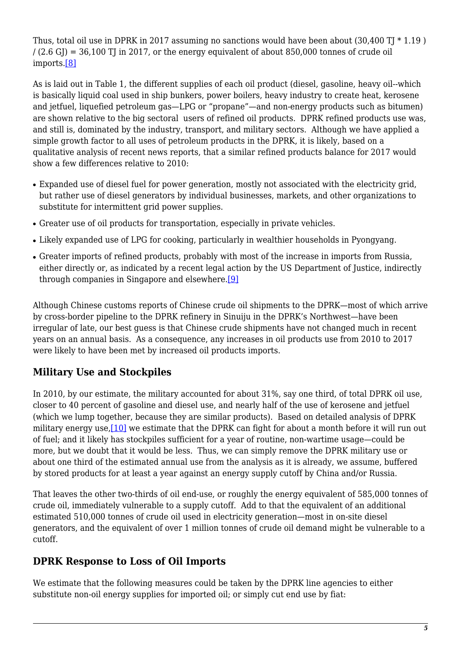<span id="page-4-0"></span>Thus, total oil use in DPRK in 2017 assuming no sanctions would have been about  $(30.400 \text{ T} \mid * 1.19)$  $/(2.6 \text{ G}) = 36,100 \text{ T}$  in 2017, or the energy equivalent of about 850,000 tonnes of crude oil imports[.\[8\]](#page-7-7)

As is laid out in Table 1, the different supplies of each oil product (diesel, gasoline, heavy oil--which is basically liquid coal used in ship bunkers, power boilers, heavy industry to create heat, kerosene and jetfuel, liquefied petroleum gas—LPG or "propane"—and non-energy products such as bitumen) are shown relative to the big sectoral users of refined oil products. DPRK refined products use was, and still is, dominated by the industry, transport, and military sectors. Although we have applied a simple growth factor to all uses of petroleum products in the DPRK, it is likely, based on a qualitative analysis of recent news reports, that a similar refined products balance for 2017 would show a few differences relative to 2010:

- Expanded use of diesel fuel for power generation, mostly not associated with the electricity grid, but rather use of diesel generators by individual businesses, markets, and other organizations to substitute for intermittent grid power supplies.
- Greater use of oil products for transportation, especially in private vehicles.
- Likely expanded use of LPG for cooking, particularly in wealthier households in Pyongyang.
- <span id="page-4-1"></span>• Greater imports of refined products, probably with most of the increase in imports from Russia, either directly or, as indicated by a recent legal action by the US Department of Justice, indirectly through companies in Singapore and elsewhere[.\[9\]](#page-7-8)

Although Chinese customs reports of Chinese crude oil shipments to the DPRK—most of which arrive by cross-border pipeline to the DPRK refinery in Sinuiju in the DPRK's Northwest—have been irregular of late, our best guess is that Chinese crude shipments have not changed much in recent years on an annual basis. As a consequence, any increases in oil products use from 2010 to 2017 were likely to have been met by increased oil products imports.

## **Military Use and Stockpiles**

<span id="page-4-2"></span>In 2010, by our estimate, the military accounted for about 31%, say one third, of total DPRK oil use, closer to 40 percent of gasoline and diesel use, and nearly half of the use of kerosene and jetfuel (which we lump together, because they are similar products). Based on detailed analysis of DPRK military energy use[,\[10\]](#page-7-9) we estimate that the DPRK can fight for about a month before it will run out of fuel; and it likely has stockpiles sufficient for a year of routine, non-wartime usage—could be more, but we doubt that it would be less. Thus, we can simply remove the DPRK military use or about one third of the estimated annual use from the analysis as it is already, we assume, buffered by stored products for at least a year against an energy supply cutoff by China and/or Russia.

That leaves the other two-thirds of oil end-use, or roughly the energy equivalent of 585,000 tonnes of crude oil, immediately vulnerable to a supply cutoff. Add to that the equivalent of an additional estimated 510,000 tonnes of crude oil used in electricity generation—most in on-site diesel generators, and the equivalent of over 1 million tonnes of crude oil demand might be vulnerable to a cutoff.

### **DPRK Response to Loss of Oil Imports**

We estimate that the following measures could be taken by the DPRK line agencies to either substitute non-oil energy supplies for imported oil; or simply cut end use by fiat: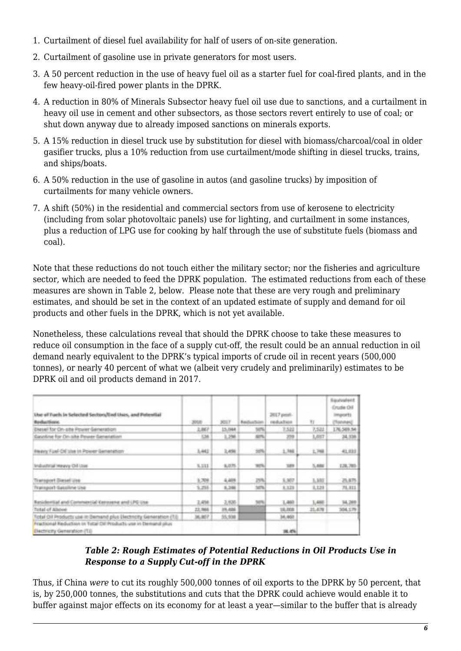- 1. Curtailment of diesel fuel availability for half of users of on-site generation.
- 2. Curtailment of gasoline use in private generators for most users.
- 3. A 50 percent reduction in the use of heavy fuel oil as a starter fuel for coal-fired plants, and in the few heavy-oil-fired power plants in the DPRK.
- 4. A reduction in 80% of Minerals Subsector heavy fuel oil use due to sanctions, and a curtailment in heavy oil use in cement and other subsectors, as those sectors revert entirely to use of coal; or shut down anyway due to already imposed sanctions on minerals exports.
- 5. A 15% reduction in diesel truck use by substitution for diesel with biomass/charcoal/coal in older gasifier trucks, plus a 10% reduction from use curtailment/mode shifting in diesel trucks, trains, and ships/boats.
- 6. A 50% reduction in the use of gasoline in autos (and gasoline trucks) by imposition of curtailments for many vehicle owners.
- 7. A shift (50%) in the residential and commercial sectors from use of kerosene to electricity (including from solar photovoltaic panels) use for lighting, and curtailment in some instances, plus a reduction of LPG use for cooking by half through the use of substitute fuels (biomass and coal).

Note that these reductions do not touch either the military sector; nor the fisheries and agriculture sector, which are needed to feed the DPRK population. The estimated reductions from each of these measures are shown in Table 2, below. Please note that these are very rough and preliminary estimates, and should be set in the context of an updated estimate of supply and demand for oil products and other fuels in the DPRK, which is not yet available.

Nonetheless, these calculations reveal that should the DPRK choose to take these measures to reduce oil consumption in the face of a supply cut-off, the result could be an annual reduction in oil demand nearly equivalent to the DPRK's typical imports of crude oil in recent years (500,000 tonnes), or nearly 40 percent of what we (albeit very crudely and preliminarily) estimates to be DPRK oil and oil products demand in 2017.

| the of Fuck in Selected Sectors/End thes, and Potential<br>Revillage Division,                      | 2008       | <b>JOIF</b> | <b>Republicate Tennis</b> | 2017 peter-<br>realized some | TT.    | <b>Repulsable</b><br>Cruzle Oil<br>Imports<br>Channel C |
|-----------------------------------------------------------------------------------------------------|------------|-------------|---------------------------|------------------------------|--------|---------------------------------------------------------|
| Diesel for On-site Power-Seneration                                                                 | 1.86P      | 15,094      | 2076                      | <b>TAIS</b>                  | 2,5,22 | 176.509.54                                              |
| Gaschine for Drushe Proper Generation                                                               | <b>CHI</b> | 1,298       | <b>SETTL</b>              | 259                          | 1,007  | 24,338                                                  |
| Heavy Fuel-Oil Use in Power Genetation                                                              | 1,442      | 2,4000      | 2076                      | 1.344                        | 1,748  | $-01, 011$                                              |
| Industrial Heavy Oil Use                                                                            | 3,531      | 私の力         | <b>HOW</b>                | <b>THEFT</b>                 | 1,680  | 1,38,783                                                |
| Tiransport Diesel use                                                                               | 1,709      | 4,409       | 29%                       | 3.307                        | 1,100  | 四川市                                                     |
| Transport-Sassalene Use                                                                             | 3.258      | 6,246       | 30%                       | 8,938                        | 8,128  | 71, 811                                                 |
| Residential and Commercial Kennsene and LPG Use                                                     | 3,498      | 2,820       | <b>SILLER</b>             | 1,462                        | 1,488  | 34, 399                                                 |
| Total of Allstee                                                                                    | 22,966     | 29.406      | <b>BERTHERE</b>           | 18, 202                      | 21.479 | 304, 179                                                |
| Total Oil Products use in Bernard plus Electricity Generation (TJ)                                  | 36,007     | 55,500      |                           | 34,460                       |        |                                                         |
| Fractional Reduction in Tistal Dif Products use in Demand plus<br><b>Bectricity Generation (TE)</b> |            |             |                           |                              |        |                                                         |

#### *Table 2: Rough Estimates of Potential Reductions in Oil Products Use in Response to a Supply Cut-off in the DPRK*

Thus, if China *were* to cut its roughly 500,000 tonnes of oil exports to the DPRK by 50 percent, that is, by 250,000 tonnes, the substitutions and cuts that the DPRK could achieve would enable it to buffer against major effects on its economy for at least a year—similar to the buffer that is already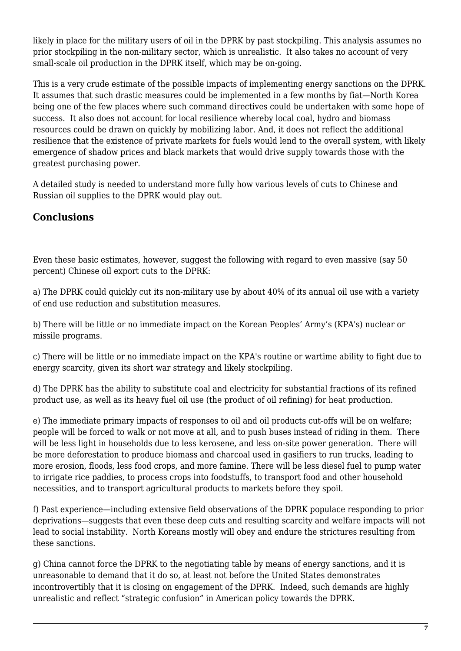likely in place for the military users of oil in the DPRK by past stockpiling. This analysis assumes no prior stockpiling in the non-military sector, which is unrealistic. It also takes no account of very small-scale oil production in the DPRK itself, which may be on-going.

This is a very crude estimate of the possible impacts of implementing energy sanctions on the DPRK. It assumes that such drastic measures could be implemented in a few months by fiat—North Korea being one of the few places where such command directives could be undertaken with some hope of success. It also does not account for local resilience whereby local coal, hydro and biomass resources could be drawn on quickly by mobilizing labor. And, it does not reflect the additional resilience that the existence of private markets for fuels would lend to the overall system, with likely emergence of shadow prices and black markets that would drive supply towards those with the greatest purchasing power.

A detailed study is needed to understand more fully how various levels of cuts to Chinese and Russian oil supplies to the DPRK would play out.

## **Conclusions**

Even these basic estimates, however, suggest the following with regard to even massive (say 50 percent) Chinese oil export cuts to the DPRK:

a) The DPRK could quickly cut its non-military use by about 40% of its annual oil use with a variety of end use reduction and substitution measures.

b) There will be little or no immediate impact on the Korean Peoples' Army's (KPA's) nuclear or missile programs.

c) There will be little or no immediate impact on the KPA's routine or wartime ability to fight due to energy scarcity, given its short war strategy and likely stockpiling.

d) The DPRK has the ability to substitute coal and electricity for substantial fractions of its refined product use, as well as its heavy fuel oil use (the product of oil refining) for heat production.

e) The immediate primary impacts of responses to oil and oil products cut-offs will be on welfare; people will be forced to walk or not move at all, and to push buses instead of riding in them. There will be less light in households due to less kerosene, and less on-site power generation. There will be more deforestation to produce biomass and charcoal used in gasifiers to run trucks, leading to more erosion, floods, less food crops, and more famine. There will be less diesel fuel to pump water to irrigate rice paddies, to process crops into foodstuffs, to transport food and other household necessities, and to transport agricultural products to markets before they spoil.

f) Past experience—including extensive field observations of the DPRK populace responding to prior deprivations—suggests that even these deep cuts and resulting scarcity and welfare impacts will not lead to social instability. North Koreans mostly will obey and endure the strictures resulting from these sanctions.

g) China cannot force the DPRK to the negotiating table by means of energy sanctions, and it is unreasonable to demand that it do so, at least not before the United States demonstrates incontrovertibly that it is closing on engagement of the DPRK. Indeed, such demands are highly unrealistic and reflect "strategic confusion" in American policy towards the DPRK.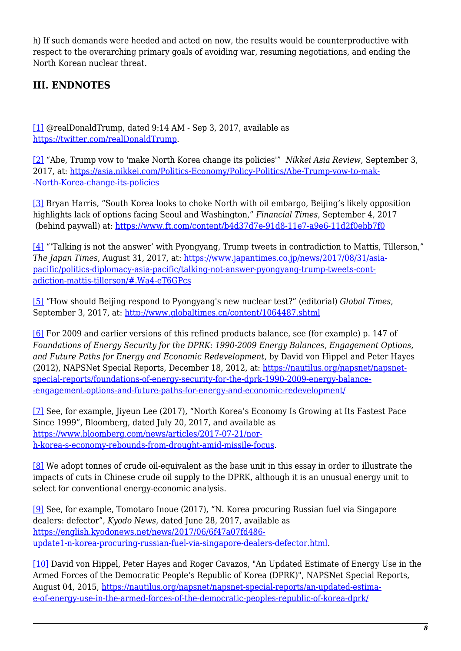h) If such demands were heeded and acted on now, the results would be counterproductive with respect to the overarching primary goals of avoiding war, resuming negotiations, and ending the North Korean nuclear threat.

## **III. ENDNOTES**

<span id="page-7-0"></span>[\[1\]](#page-1-0) @realDonaldTrump, dated 9:14 AM - Sep 3, 2017, available as <https://twitter.com/realDonaldTrump>.

<span id="page-7-1"></span>[\[2\]](#page-1-1) "Abe, Trump vow to 'make North Korea change its policies'" *Nikkei Asia Review*, September 3, 2017, at: [https://asia.nikkei.com/Politics-Economy/Policy-Politics/Abe-Trump-vow-to-mak-](https://asia.nikkei.com/Politics-Economy/Policy-Politics/Abe-Trump-vow-to-make-North-Korea-change-its-policies) [-North-Korea-change-its-policies](https://asia.nikkei.com/Politics-Economy/Policy-Politics/Abe-Trump-vow-to-make-North-Korea-change-its-policies)

<span id="page-7-2"></span>[\[3\]](#page-1-2) Bryan Harris, "South Korea looks to choke North with oil embargo, Beijing's likely opposition highlights lack of options facing Seoul and Washington," *Financial Times*, September 4, 2017 (behind paywall) at: <https://www.ft.com/content/b4d37d7e-91d8-11e7-a9e6-11d2f0ebb7f0>

<span id="page-7-3"></span>[\[4\]](#page-2-0) "'Talking is not the answer' with Pyongyang, Trump tweets in contradiction to Mattis, Tillerson," *The Japan Times*, August 31, 2017, at: [https://www.japantimes.co.jp/news/2017/08/31/asia](https://www.japantimes.co.jp/news/2017/08/31/asia-pacific/politics-diplomacy-asia-pacific/talking-not-answer-pyongyang-trump-tweets-contradiction-mattis-tillerson/#.Wa4-eT6GPcs)[pacific/politics-diplomacy-asia-pacific/talking-not-answer-pyongyang-trump-tweets-cont](https://www.japantimes.co.jp/news/2017/08/31/asia-pacific/politics-diplomacy-asia-pacific/talking-not-answer-pyongyang-trump-tweets-contradiction-mattis-tillerson/#.Wa4-eT6GPcs)[adiction-mattis-tillerson/#.Wa4-eT6GPcs](https://www.japantimes.co.jp/news/2017/08/31/asia-pacific/politics-diplomacy-asia-pacific/talking-not-answer-pyongyang-trump-tweets-contradiction-mattis-tillerson/#.Wa4-eT6GPcs)

<span id="page-7-4"></span>[\[5\]](#page-2-1) "How should Beijing respond to Pyongyang's new nuclear test?" (editorial) *Global Times*, September 3, 2017, at:<http://www.globaltimes.cn/content/1064487.shtml>

<span id="page-7-5"></span>[\[6\]](#page-2-2) For 2009 and earlier versions of this refined products balance, see (for example) p. 147 of *Foundations of Energy Security for the DPRK: 1990-2009 Energy Balances, Engagement Options, and Future Paths for Energy and Economic Redevelopment*, by David von Hippel and Peter Hayes (2012), NAPSNet Special Reports, December 18, 2012, at: [https://nautilus.org/napsnet/napsnet](https://nautilus.org/napsnet/napsnet-special-reports/foundations-of-energy-security-for-the-dprk-1990-2009-energy-balances-engagement-options-and-future-paths-for-energy-and-economic-redevelopment/)[special-reports/foundations-of-energy-security-for-the-dprk-1990-2009-energy-balance-](https://nautilus.org/napsnet/napsnet-special-reports/foundations-of-energy-security-for-the-dprk-1990-2009-energy-balances-engagement-options-and-future-paths-for-energy-and-economic-redevelopment/) [-engagement-options-and-future-paths-for-energy-and-economic-redevelopment/](https://nautilus.org/napsnet/napsnet-special-reports/foundations-of-energy-security-for-the-dprk-1990-2009-energy-balances-engagement-options-and-future-paths-for-energy-and-economic-redevelopment/)

<span id="page-7-6"></span>[\[7\]](#page-3-0) See, for example, Jiyeun Lee (2017), "North Korea's Economy Is Growing at Its Fastest Pace Since 1999", Bloomberg, dated July 20, 2017, and available as [https://www.bloomberg.com/news/articles/2017-07-21/nor](https://www.bloomberg.com/news/articles/2017-07-21/north-korea-s-economy-rebounds-from-drought-amid-missile-focus)[h-korea-s-economy-rebounds-from-drought-amid-missile-focus](https://www.bloomberg.com/news/articles/2017-07-21/north-korea-s-economy-rebounds-from-drought-amid-missile-focus).

<span id="page-7-7"></span>[\[8\]](#page-4-0) We adopt tonnes of crude oil-equivalent as the base unit in this essay in order to illustrate the impacts of cuts in Chinese crude oil supply to the DPRK, although it is an unusual energy unit to select for conventional energy-economic analysis.

<span id="page-7-8"></span>[\[9\]](#page-4-1) See, for example, Tomotaro Inoue (2017), "N. Korea procuring Russian fuel via Singapore dealers: defector", *Kyodo News*, dated June 28, 2017, available as [https://english.kyodonews.net/news/2017/06/6f47a07fd486](https://english.kyodonews.net/news/2017/06/6f47a07fd486-update1-n-korea-procuring-russian-fuel-via-singapore-dealers-defector.html) [update1-n-korea-procuring-russian-fuel-via-singapore-dealers-defector.html](https://english.kyodonews.net/news/2017/06/6f47a07fd486-update1-n-korea-procuring-russian-fuel-via-singapore-dealers-defector.html).

<span id="page-7-9"></span>[\[10\]](#page-4-2) David von Hippel, Peter Hayes and Roger Cavazos, "An Updated Estimate of Energy Use in the Armed Forces of the Democratic People's Republic of Korea (DPRK)", NAPSNet Special Reports, August 04, 2015, [https://nautilus.org/napsnet/napsnet-special-reports/an-updated-estima](https://nautilus.org/napsnet/napsnet-special-reports/an-updated-estimate-of-energy-use-in-the-armed-forces-of-the-democratic-peoples-republic-of-korea-dprk/)[e-of-energy-use-in-the-armed-forces-of-the-democratic-peoples-republic-of-korea-dprk/](https://nautilus.org/napsnet/napsnet-special-reports/an-updated-estimate-of-energy-use-in-the-armed-forces-of-the-democratic-peoples-republic-of-korea-dprk/)